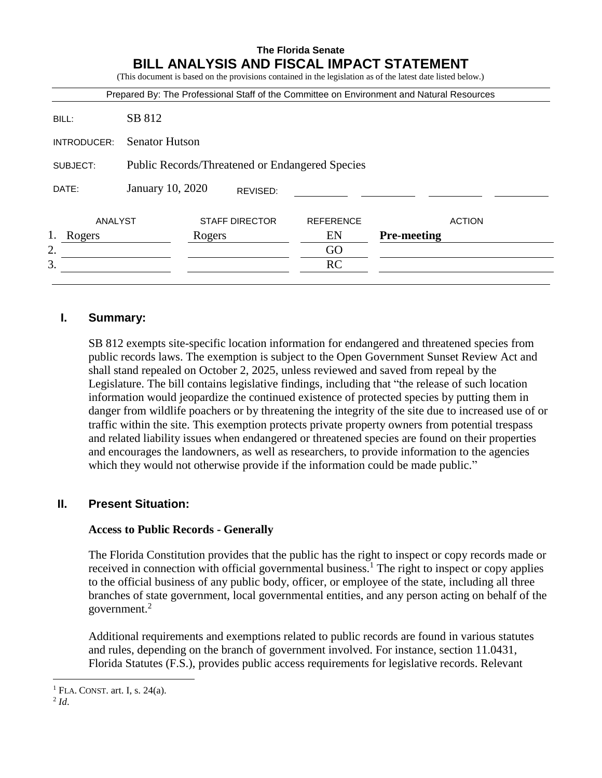# **The Florida Senate BILL ANALYSIS AND FISCAL IMPACT STATEMENT**

(This document is based on the provisions contained in the legislation as of the latest date listed below.)

|                                                                    |                       |        |                       |                  | Prepared By: The Professional Staff of the Committee on Environment and Natural Resources |
|--------------------------------------------------------------------|-----------------------|--------|-----------------------|------------------|-------------------------------------------------------------------------------------------|
| BILL:                                                              | SB 812                |        |                       |                  |                                                                                           |
| INTRODUCER:                                                        | <b>Senator Hutson</b> |        |                       |                  |                                                                                           |
| <b>Public Records/Threatened or Endangered Species</b><br>SUBJECT: |                       |        |                       |                  |                                                                                           |
| DATE:                                                              | January 10, 2020      |        | REVISED:              |                  |                                                                                           |
| ANALYST                                                            |                       |        | <b>STAFF DIRECTOR</b> | <b>REFERENCE</b> | <b>ACTION</b>                                                                             |
| 1.<br>Rogers                                                       |                       | Rogers |                       | EN               | <b>Pre-meeting</b>                                                                        |
| 2.                                                                 |                       |        |                       | GO               |                                                                                           |
| 3.                                                                 |                       |        |                       | RC               |                                                                                           |

#### **I. Summary:**

SB 812 exempts site-specific location information for endangered and threatened species from public records laws. The exemption is subject to the Open Government Sunset Review Act and shall stand repealed on October 2, 2025, unless reviewed and saved from repeal by the Legislature. The bill contains legislative findings, including that "the release of such location information would jeopardize the continued existence of protected species by putting them in danger from wildlife poachers or by threatening the integrity of the site due to increased use of or traffic within the site. This exemption protects private property owners from potential trespass and related liability issues when endangered or threatened species are found on their properties and encourages the landowners, as well as researchers, to provide information to the agencies which they would not otherwise provide if the information could be made public."

#### **II. Present Situation:**

#### **Access to Public Records - Generally**

The Florida Constitution provides that the public has the right to inspect or copy records made or received in connection with official governmental business.<sup>1</sup> The right to inspect or copy applies to the official business of any public body, officer, or employee of the state, including all three branches of state government, local governmental entities, and any person acting on behalf of the government.<sup>2</sup>

Additional requirements and exemptions related to public records are found in various statutes and rules, depending on the branch of government involved. For instance, section 11.0431, Florida Statutes (F.S.), provides public access requirements for legislative records. Relevant

 $<sup>1</sup>$  FLA. CONST. art. I, s. 24(a).</sup>

<sup>2</sup> *Id*.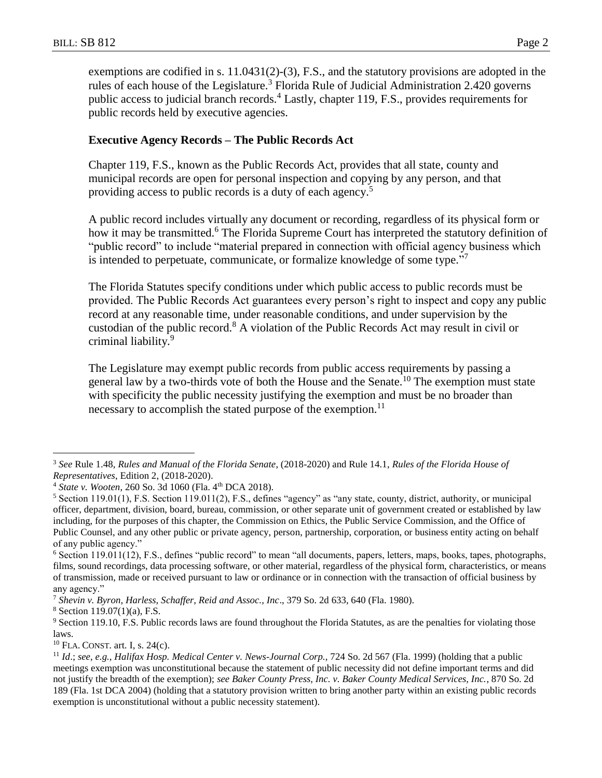exemptions are codified in s. 11.0431(2)-(3), F.S., and the statutory provisions are adopted in the rules of each house of the Legislature.<sup>3</sup> Florida Rule of Judicial Administration 2.420 governs public access to judicial branch records.<sup>4</sup> Lastly, chapter 119, F.S., provides requirements for public records held by executive agencies.

#### **Executive Agency Records – The Public Records Act**

Chapter 119, F.S., known as the Public Records Act, provides that all state, county and municipal records are open for personal inspection and copying by any person, and that providing access to public records is a duty of each agency.<sup>5</sup>

A public record includes virtually any document or recording, regardless of its physical form or how it may be transmitted.<sup>6</sup> The Florida Supreme Court has interpreted the statutory definition of "public record" to include "material prepared in connection with official agency business which is intended to perpetuate, communicate, or formalize knowledge of some type."<sup>7</sup>

The Florida Statutes specify conditions under which public access to public records must be provided. The Public Records Act guarantees every person's right to inspect and copy any public record at any reasonable time, under reasonable conditions, and under supervision by the custodian of the public record.<sup>8</sup> A violation of the Public Records Act may result in civil or criminal liability.<sup>9</sup>

The Legislature may exempt public records from public access requirements by passing a general law by a two-thirds vote of both the House and the Senate.<sup>10</sup> The exemption must state with specificity the public necessity justifying the exemption and must be no broader than necessary to accomplish the stated purpose of the exemption.<sup>11</sup>

<sup>3</sup> *See* Rule 1.48, *Rules and Manual of the Florida Senate*, (2018-2020) and Rule 14.1, *Rules of the Florida House of Representatives*, Edition 2, (2018-2020).

<sup>&</sup>lt;sup>4</sup> *State v. Wooten, 260 So. 3d 1060 (Fla. 4th DCA 2018).* 

<sup>5</sup> Section 119.01(1), F.S. Section 119.011(2), F.S., defines "agency" as "any state, county, district, authority, or municipal officer, department, division, board, bureau, commission, or other separate unit of government created or established by law including, for the purposes of this chapter, the Commission on Ethics, the Public Service Commission, and the Office of Public Counsel, and any other public or private agency, person, partnership, corporation, or business entity acting on behalf of any public agency."

<sup>6</sup> Section 119.011(12), F.S., defines "public record" to mean "all documents, papers, letters, maps, books, tapes, photographs, films, sound recordings, data processing software, or other material, regardless of the physical form, characteristics, or means of transmission, made or received pursuant to law or ordinance or in connection with the transaction of official business by any agency."

<sup>7</sup> *Shevin v. Byron, Harless, Schaffer, Reid and Assoc., Inc*., 379 So. 2d 633, 640 (Fla. 1980).

<sup>8</sup> Section 119.07(1)(a), F.S.

<sup>9</sup> Section 119.10, F.S. Public records laws are found throughout the Florida Statutes, as are the penalties for violating those laws.

 $10$  FLA. CONST. art. I, s. 24(c).

<sup>11</sup> *Id*.; *see, e.g.*, *Halifax Hosp. Medical Center v. News-Journal Corp.,* 724 So. 2d 567 (Fla. 1999) (holding that a public meetings exemption was unconstitutional because the statement of public necessity did not define important terms and did not justify the breadth of the exemption); *see Baker County Press, Inc. v. Baker County Medical Services, Inc.*, 870 So. 2d 189 (Fla. 1st DCA 2004) (holding that a statutory provision written to bring another party within an existing public records exemption is unconstitutional without a public necessity statement).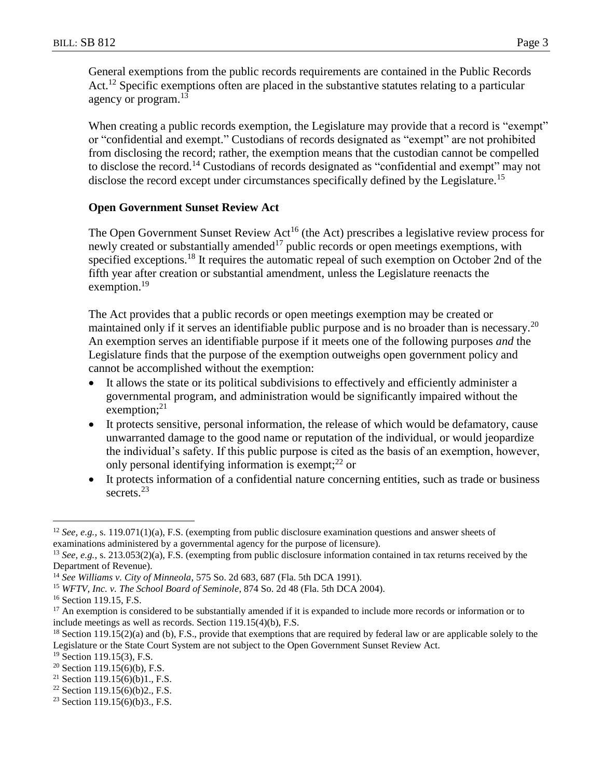General exemptions from the public records requirements are contained in the Public Records Act.<sup>12</sup> Specific exemptions often are placed in the substantive statutes relating to a particular agency or program.<sup>13</sup>

When creating a public records exemption, the Legislature may provide that a record is "exempt" or "confidential and exempt." Custodians of records designated as "exempt" are not prohibited from disclosing the record; rather, the exemption means that the custodian cannot be compelled to disclose the record.<sup>14</sup> Custodians of records designated as "confidential and exempt" may not disclose the record except under circumstances specifically defined by the Legislature.<sup>15</sup>

#### **Open Government Sunset Review Act**

The Open Government Sunset Review Act<sup>16</sup> (the Act) prescribes a legislative review process for newly created or substantially amended<sup>17</sup> public records or open meetings exemptions, with specified exceptions.<sup>18</sup> It requires the automatic repeal of such exemption on October 2nd of the fifth year after creation or substantial amendment, unless the Legislature reenacts the exemption.<sup>19</sup>

The Act provides that a public records or open meetings exemption may be created or maintained only if it serves an identifiable public purpose and is no broader than is necessary.<sup>20</sup> An exemption serves an identifiable purpose if it meets one of the following purposes *and* the Legislature finds that the purpose of the exemption outweighs open government policy and cannot be accomplished without the exemption:

- It allows the state or its political subdivisions to effectively and efficiently administer a governmental program, and administration would be significantly impaired without the exemption;<sup>21</sup>
- It protects sensitive, personal information, the release of which would be defamatory, cause unwarranted damage to the good name or reputation of the individual, or would jeopardize the individual's safety. If this public purpose is cited as the basis of an exemption, however, only personal identifying information is exempt; $^{22}$  or
- It protects information of a confidential nature concerning entities, such as trade or business secrets.<sup>23</sup>

<sup>12</sup> *See, e.g.*, s. 119.071(1)(a), F.S. (exempting from public disclosure examination questions and answer sheets of examinations administered by a governmental agency for the purpose of licensure).

<sup>13</sup> *See, e.g.*, s. 213.053(2)(a), F.S. (exempting from public disclosure information contained in tax returns received by the Department of Revenue).

<sup>14</sup> *See Williams v. City of Minneola*, 575 So. 2d 683, 687 (Fla. 5th DCA 1991).

<sup>15</sup> *WFTV, Inc. v. The School Board of Seminole*, 874 So. 2d 48 (Fla. 5th DCA 2004).

<sup>&</sup>lt;sup>16</sup> Section 119.15, F.S.

<sup>&</sup>lt;sup>17</sup> An exemption is considered to be substantially amended if it is expanded to include more records or information or to include meetings as well as records. Section 119.15(4)(b), F.S.

<sup>&</sup>lt;sup>18</sup> Section 119.15(2)(a) and (b), F.S., provide that exemptions that are required by federal law or are applicable solely to the Legislature or the State Court System are not subject to the Open Government Sunset Review Act.

<sup>19</sup> Section 119.15(3), F.S.

 $20$  Section 119.15(6)(b), F.S.

<sup>&</sup>lt;sup>21</sup> Section 119.15(6)(b)1., F.S.

 $22$  Section 119.15(6)(b)2., F.S.

<sup>&</sup>lt;sup>23</sup> Section 119.15(6)(b)3., F.S.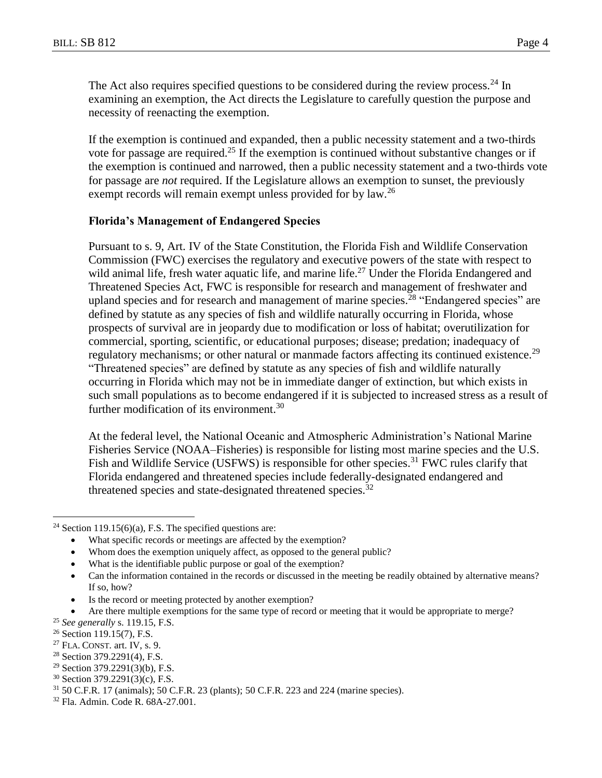The Act also requires specified questions to be considered during the review process.<sup>24</sup> In examining an exemption, the Act directs the Legislature to carefully question the purpose and necessity of reenacting the exemption.

If the exemption is continued and expanded, then a public necessity statement and a two-thirds vote for passage are required.<sup>25</sup> If the exemption is continued without substantive changes or if the exemption is continued and narrowed, then a public necessity statement and a two-thirds vote for passage are *not* required. If the Legislature allows an exemption to sunset, the previously exempt records will remain exempt unless provided for by law.<sup>26</sup>

#### **Florida's Management of Endangered Species**

Pursuant to s. 9, Art. IV of the State Constitution, the Florida Fish and Wildlife Conservation Commission (FWC) exercises the regulatory and executive powers of the state with respect to wild animal life, fresh water aquatic life, and marine life.<sup>27</sup> Under the Florida Endangered and Threatened Species Act, FWC is responsible for research and management of freshwater and upland species and for research and management of marine species.<sup>28</sup> "Endangered species" are defined by statute as any species of fish and wildlife naturally occurring in Florida, whose prospects of survival are in jeopardy due to modification or loss of habitat; overutilization for commercial, sporting, scientific, or educational purposes; disease; predation; inadequacy of regulatory mechanisms; or other natural or manmade factors affecting its continued existence.<sup>29</sup> "Threatened species" are defined by statute as any species of fish and wildlife naturally occurring in Florida which may not be in immediate danger of extinction, but which exists in such small populations as to become endangered if it is subjected to increased stress as a result of further modification of its environment.<sup>30</sup>

At the federal level, the National Oceanic and Atmospheric Administration's National Marine Fisheries Service (NOAA–Fisheries) is responsible for listing most marine species and the U.S. Fish and Wildlife Service (USFWS) is responsible for other species.<sup>31</sup> FWC rules clarify that Florida endangered and threatened species include federally-designated endangered and threatened species and state-designated threatened species. $32$ 

What is the identifiable public purpose or goal of the exemption?

Is the record or meeting protected by another exemption?

<sup>&</sup>lt;sup>24</sup> Section 119.15(6)(a), F.S. The specified questions are:

What specific records or meetings are affected by the exemption?

Whom does the exemption uniquely affect, as opposed to the general public?

Can the information contained in the records or discussed in the meeting be readily obtained by alternative means? If so, how?

Are there multiple exemptions for the same type of record or meeting that it would be appropriate to merge?

<sup>25</sup> *See generally* s. 119.15, F.S.

<sup>26</sup> Section 119.15(7), F.S.

 $27$  FLA. CONST. art. IV, s. 9.

<sup>28</sup> Section 379.2291(4), F.S.

 $29$  Section 379.2291(3)(b), F.S.

<sup>30</sup> Section 379.2291(3)(c), F.S.

<sup>31</sup> 50 C.F.R. 17 (animals); 50 C.F.R. 23 (plants); 50 C.F.R. 223 and 224 (marine species).

<sup>32</sup> Fla. Admin. Code R. 68A-27.001.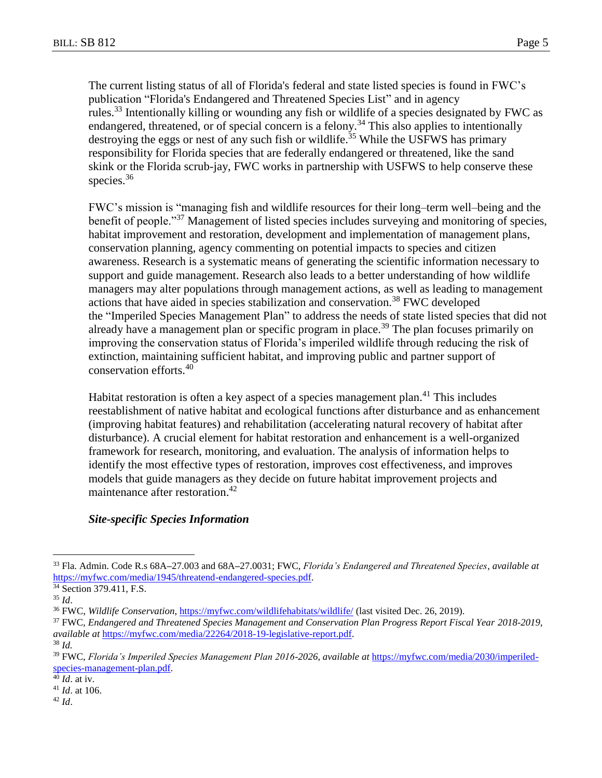The current listing status of all of Florida's federal and state listed species is found in FWC's publication "Florida's Endangered and Threatened Species List" and in agency rules.<sup>33</sup> Intentionally killing or wounding any fish or wildlife of a species designated by FWC as endangered, threatened, or of special concern is a felony.<sup>34</sup> This also applies to intentionally destroying the eggs or nest of any such fish or wildlife.<sup>35</sup> While the USFWS has primary responsibility for Florida species that are federally endangered or threatened, like the sand skink or the Florida scrub-jay, FWC works in partnership with USFWS to help conserve these species.<sup>36</sup>

FWC's mission is "managing fish and wildlife resources for their long–term well–being and the benefit of people."<sup>37</sup> Management of listed species includes surveying and monitoring of species, habitat improvement and restoration, development and implementation of management plans, conservation planning, agency commenting on potential impacts to species and citizen awareness. Research is a systematic means of generating the scientific information necessary to support and guide management. Research also leads to a better understanding of how wildlife managers may alter populations through management actions, as well as leading to management actions that have aided in species stabilization and conservation.<sup>38</sup> FWC developed the "Imperiled Species Management Plan" to address the needs of state listed species that did not already have a management plan or specific program in place.<sup>39</sup> The plan focuses primarily on improving the conservation status of Florida's imperiled wildlife through reducing the risk of extinction, maintaining sufficient habitat, and improving public and partner support of conservation efforts.<sup>40</sup>

Habitat restoration is often a key aspect of a species management plan.<sup>41</sup> This includes reestablishment of native habitat and ecological functions after disturbance and as enhancement (improving habitat features) and rehabilitation (accelerating natural recovery of habitat after disturbance). A crucial element for habitat restoration and enhancement is a well-organized framework for research, monitoring, and evaluation. The analysis of information helps to identify the most effective types of restoration, improves cost effectiveness, and improves models that guide managers as they decide on future habitat improvement projects and maintenance after restoration. 42

# *Site-specific Species Information*

 $\overline{a}$ 

<sup>40</sup> *Id*. at iv.

<sup>42</sup> *Id*.

<sup>33</sup> Fla. Admin. Code R.s 68A**–**27.003 and 68A**–**27.0031; FWC, *Florida's Endangered and Threatened Species*, *available at* [https://myfwc.com/media/1945/threatend-endangered-species.pdf.](https://myfwc.com/media/1945/threatend-endangered-species.pdf)

<sup>&</sup>lt;sup>34</sup> Section 379.411, F.S.

<sup>35</sup> *Id*.

<sup>36</sup> FWC, *Wildlife Conservation*[, https://myfwc.com/wildlifehabitats/wildlife/](https://myfwc.com/wildlifehabitats/wildlife/) (last visited Dec. 26, 2019).

<sup>37</sup> FWC, *Endangered and Threatened Species Management and Conservation Plan Progress Report Fiscal Year 2018-2019*, *available at* [https://myfwc.com/media/22264/2018-19-legislative-report.pdf.](https://myfwc.com/media/22264/2018-19-legislative-report.pdf)

<sup>38</sup> *Id.*

<sup>39</sup> FWC, *Florida's Imperiled Species Management Plan 2016-2026*, *available at* [https://myfwc.com/media/2030/imperiled](https://myfwc.com/media/2030/imperiled-species-management-plan.pdf)[species-management-plan.pdf.](https://myfwc.com/media/2030/imperiled-species-management-plan.pdf)

<sup>41</sup> *Id*. at 106.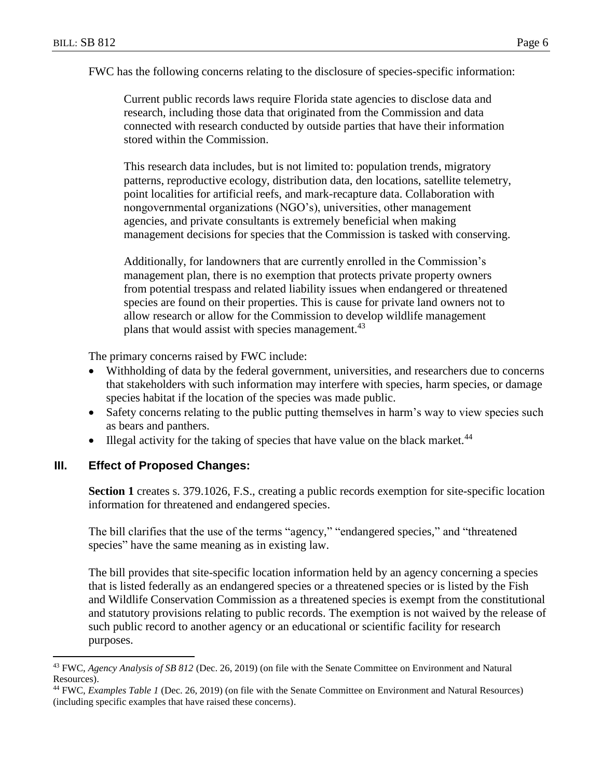FWC has the following concerns relating to the disclosure of species-specific information:

Current public records laws require Florida state agencies to disclose data and research, including those data that originated from the Commission and data connected with research conducted by outside parties that have their information stored within the Commission.

This research data includes, but is not limited to: population trends, migratory patterns, reproductive ecology, distribution data, den locations, satellite telemetry, point localities for artificial reefs, and mark-recapture data. Collaboration with nongovernmental organizations (NGO's), universities, other management agencies, and private consultants is extremely beneficial when making management decisions for species that the Commission is tasked with conserving.

Additionally, for landowners that are currently enrolled in the Commission's management plan, there is no exemption that protects private property owners from potential trespass and related liability issues when endangered or threatened species are found on their properties. This is cause for private land owners not to allow research or allow for the Commission to develop wildlife management plans that would assist with species management.<sup>43</sup>

The primary concerns raised by FWC include:

- Withholding of data by the federal government, universities, and researchers due to concerns that stakeholders with such information may interfere with species, harm species, or damage species habitat if the location of the species was made public.
- Safety concerns relating to the public putting themselves in harm's way to view species such as bears and panthers.
- Illegal activity for the taking of species that have value on the black market. $44$

# **III. Effect of Proposed Changes:**

 $\overline{a}$ 

**Section 1** creates s. 379.1026, F.S., creating a public records exemption for site-specific location information for threatened and endangered species.

The bill clarifies that the use of the terms "agency," "endangered species," and "threatened species" have the same meaning as in existing law.

The bill provides that site-specific location information held by an agency concerning a species that is listed federally as an endangered species or a threatened species or is listed by the Fish and Wildlife Conservation Commission as a threatened species is exempt from the constitutional and statutory provisions relating to public records. The exemption is not waived by the release of such public record to another agency or an educational or scientific facility for research purposes.

<sup>43</sup> FWC, *Agency Analysis of SB 812* (Dec. 26, 2019) (on file with the Senate Committee on Environment and Natural Resources).

<sup>44</sup> FWC, *Examples Table 1* (Dec. 26, 2019) (on file with the Senate Committee on Environment and Natural Resources) (including specific examples that have raised these concerns).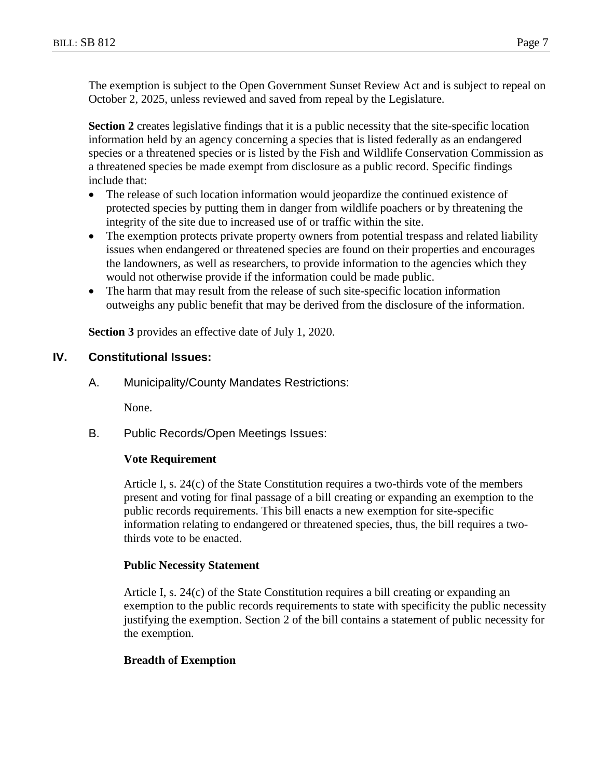The exemption is subject to the Open Government Sunset Review Act and is subject to repeal on October 2, 2025, unless reviewed and saved from repeal by the Legislature.

**Section 2** creates legislative findings that it is a public necessity that the site-specific location information held by an agency concerning a species that is listed federally as an endangered species or a threatened species or is listed by the Fish and Wildlife Conservation Commission as a threatened species be made exempt from disclosure as a public record. Specific findings include that:

- The release of such location information would jeopardize the continued existence of protected species by putting them in danger from wildlife poachers or by threatening the integrity of the site due to increased use of or traffic within the site.
- The exemption protects private property owners from potential trespass and related liability issues when endangered or threatened species are found on their properties and encourages the landowners, as well as researchers, to provide information to the agencies which they would not otherwise provide if the information could be made public.
- The harm that may result from the release of such site-specific location information outweighs any public benefit that may be derived from the disclosure of the information.

**Section 3** provides an effective date of July 1, 2020.

# **IV. Constitutional Issues:**

A. Municipality/County Mandates Restrictions:

None.

B. Public Records/Open Meetings Issues:

# **Vote Requirement**

Article I, s. 24(c) of the State Constitution requires a two-thirds vote of the members present and voting for final passage of a bill creating or expanding an exemption to the public records requirements. This bill enacts a new exemption for site-specific information relating to endangered or threatened species, thus, the bill requires a twothirds vote to be enacted.

# **Public Necessity Statement**

Article I, s. 24(c) of the State Constitution requires a bill creating or expanding an exemption to the public records requirements to state with specificity the public necessity justifying the exemption. Section 2 of the bill contains a statement of public necessity for the exemption.

# **Breadth of Exemption**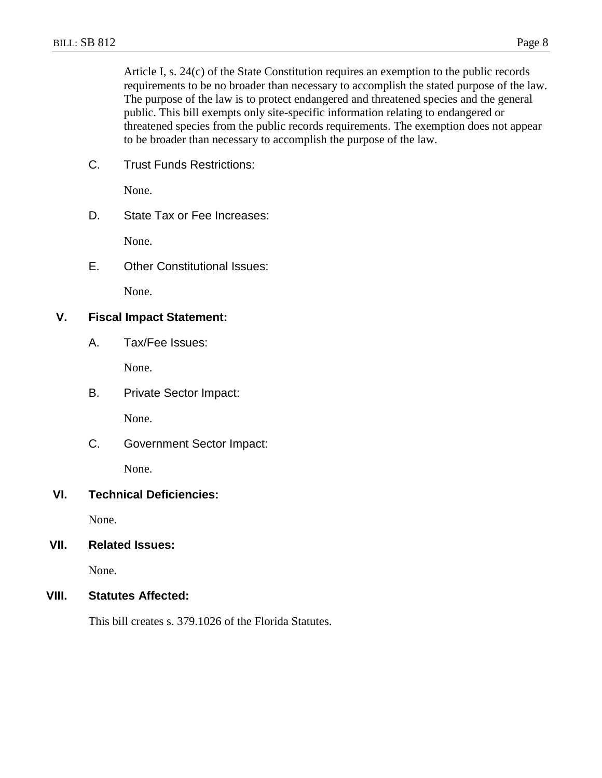Article I, s. 24(c) of the State Constitution requires an exemption to the public records requirements to be no broader than necessary to accomplish the stated purpose of the law. The purpose of the law is to protect endangered and threatened species and the general public. This bill exempts only site-specific information relating to endangered or threatened species from the public records requirements. The exemption does not appear to be broader than necessary to accomplish the purpose of the law.

C. Trust Funds Restrictions:

None.

D. State Tax or Fee Increases:

None.

E. Other Constitutional Issues:

None.

### **V. Fiscal Impact Statement:**

A. Tax/Fee Issues:

None.

B. Private Sector Impact:

None.

C. Government Sector Impact:

None.

# **VI. Technical Deficiencies:**

None.

#### **VII. Related Issues:**

None.

#### **VIII. Statutes Affected:**

This bill creates s. 379.1026 of the Florida Statutes.